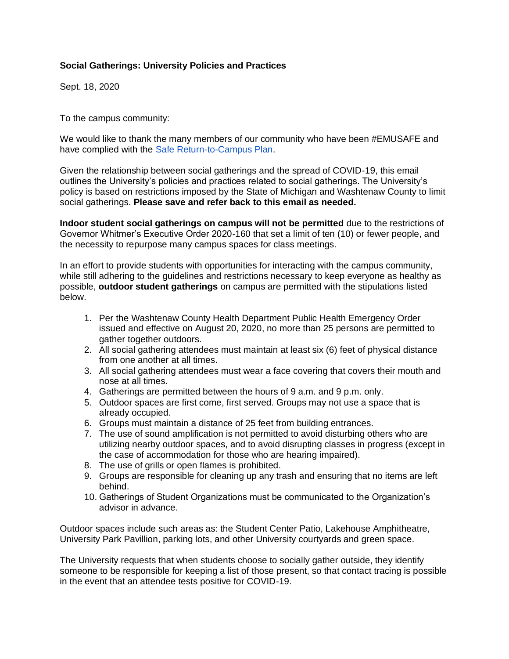## **Social Gatherings: University Policies and Practices**

Sept. 18, 2020

To the campus community:

We would like to thank the many members of our community who have been #EMUSAFE and have complied with the [Safe Return-to-Campus Plan.](https://www.emich.edu/emu-safe/safe-return-to-campus/index.php)

Given the relationship between social gatherings and the spread of COVID-19, this email outlines the University's policies and practices related to social gatherings. The University's policy is based on restrictions imposed by the State of Michigan and Washtenaw County to limit social gatherings. **Please save and refer back to this email as needed.**

**Indoor student social gatherings on campus will not be permitted** due to the restrictions of Governor Whitmer's Executive Order 2020-160 that set a limit of ten (10) or fewer people, and the necessity to repurpose many campus spaces for class meetings.

In an effort to provide students with opportunities for interacting with the campus community, while still adhering to the guidelines and restrictions necessary to keep everyone as healthy as possible, **outdoor student gatherings** on campus are permitted with the stipulations listed below.

- 1. Per the Washtenaw County Health Department Public Health Emergency Order issued and effective on August 20, 2020, no more than 25 persons are permitted to gather together outdoors.
- 2. All social gathering attendees must maintain at least six (6) feet of physical distance from one another at all times.
- 3. All social gathering attendees must wear a face covering that covers their mouth and nose at all times.
- 4. Gatherings are permitted between the hours of 9 a.m. and 9 p.m. only.
- 5. Outdoor spaces are first come, first served. Groups may not use a space that is already occupied.
- 6. Groups must maintain a distance of 25 feet from building entrances.
- 7. The use of sound amplification is not permitted to avoid disturbing others who are utilizing nearby outdoor spaces, and to avoid disrupting classes in progress (except in the case of accommodation for those who are hearing impaired).
- 8. The use of grills or open flames is prohibited.
- 9. Groups are responsible for cleaning up any trash and ensuring that no items are left behind.
- 10. Gatherings of Student Organizations must be communicated to the Organization's advisor in advance.

Outdoor spaces include such areas as: the Student Center Patio, Lakehouse Amphitheatre, University Park Pavillion, parking lots, and other University courtyards and green space.

The University requests that when students choose to socially gather outside, they identify someone to be responsible for keeping a list of those present, so that contact tracing is possible in the event that an attendee tests positive for COVID-19.